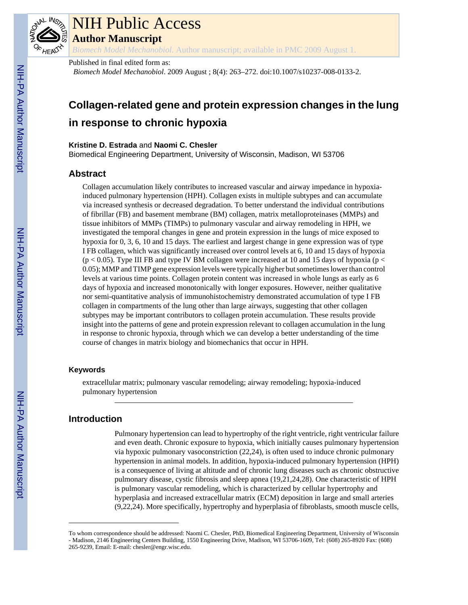

# NIH Public Access

**Author Manuscript**

*Biomech Model Mechanobiol*. Author manuscript; available in PMC 2009 August 1.

## Published in final edited form as:

*Biomech Model Mechanobiol*. 2009 August ; 8(4): 263–272. doi:10.1007/s10237-008-0133-2.

## **Collagen-related gene and protein expression changes in the lung in response to chronic hypoxia**

#### **Kristine D. Estrada** and **Naomi C. Chesler**

Biomedical Engineering Department, University of Wisconsin, Madison, WI 53706

## **Abstract**

Collagen accumulation likely contributes to increased vascular and airway impedance in hypoxiainduced pulmonary hypertension (HPH). Collagen exists in multiple subtypes and can accumulate via increased synthesis or decreased degradation. To better understand the individual contributions of fibrillar (FB) and basement membrane (BM) collagen, matrix metalloproteinases (MMPs) and tissue inhibitors of MMPs (TIMPs) to pulmonary vascular and airway remodeling in HPH, we investigated the temporal changes in gene and protein expression in the lungs of mice exposed to hypoxia for 0, 3, 6, 10 and 15 days. The earliest and largest change in gene expression was of type I FB collagen, which was significantly increased over control levels at 6, 10 and 15 days of hypoxia  $(p < 0.05)$ . Type III FB and type IV BM collagen were increased at 10 and 15 days of hypoxia ( $p <$ 0.05); MMP and TIMP gene expression levels were typically higher but sometimes lower than control levels at various time points. Collagen protein content was increased in whole lungs as early as 6 days of hypoxia and increased monotonically with longer exposures. However, neither qualitative nor semi-quantitative analysis of immunohistochemistry demonstrated accumulation of type I FB collagen in compartments of the lung other than large airways, suggesting that other collagen subtypes may be important contributors to collagen protein accumulation. These results provide insight into the patterns of gene and protein expression relevant to collagen accumulation in the lung in response to chronic hypoxia, through which we can develop a better understanding of the time course of changes in matrix biology and biomechanics that occur in HPH.

#### **Keywords**

extracellular matrix; pulmonary vascular remodeling; airway remodeling; hypoxia-induced pulmonary hypertension

## **Introduction**

Pulmonary hypertension can lead to hypertrophy of the right ventricle, right ventricular failure and even death. Chronic exposure to hypoxia, which initially causes pulmonary hypertension via hypoxic pulmonary vasoconstriction (22,24), is often used to induce chronic pulmonary hypertension in animal models. In addition, hypoxia-induced pulmonary hypertension (HPH) is a consequence of living at altitude and of chronic lung diseases such as chronic obstructive pulmonary disease, cystic fibrosis and sleep apnea (19,21,24,28). One characteristic of HPH is pulmonary vascular remodeling, which is characterized by cellular hypertrophy and hyperplasia and increased extracellular matrix (ECM) deposition in large and small arteries (9,22,24). More specifically, hypertrophy and hyperplasia of fibroblasts, smooth muscle cells,

To whom correspondence should be addressed: Naomi C. Chesler, PhD, Biomedical Engineering Department, University of Wisconsin - Madison, 2146 Engineering Centers Building, 1550 Engineering Drive, Madison, WI 53706-1609, Tel: (608) 265-8920 Fax: (608) 265-9239, Email: E-mail: chesler@engr.wisc.edu.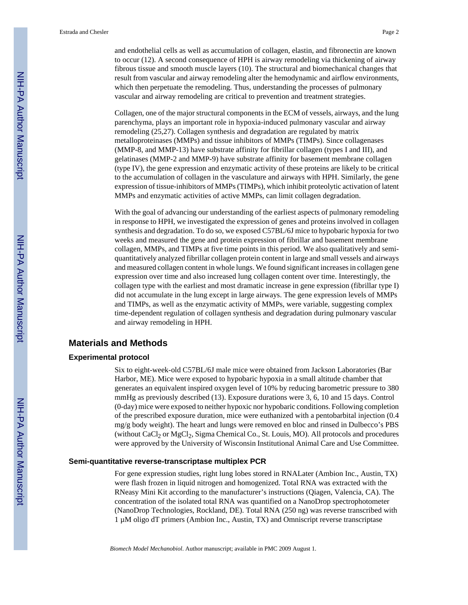and endothelial cells as well as accumulation of collagen, elastin, and fibronectin are known to occur (12). A second consequence of HPH is airway remodeling via thickening of airway fibrous tissue and smooth muscle layers (10). The structural and biomechanical changes that result from vascular and airway remodeling alter the hemodynamic and airflow environments, which then perpetuate the remodeling. Thus, understanding the processes of pulmonary vascular and airway remodeling are critical to prevention and treatment strategies.

Collagen, one of the major structural components in the ECM of vessels, airways, and the lung parenchyma, plays an important role in hypoxia-induced pulmonary vascular and airway remodeling (25,27). Collagen synthesis and degradation are regulated by matrix metalloproteinases (MMPs) and tissue inhibitors of MMPs (TIMPs). Since collagenases (MMP-8, and MMP-13) have substrate affinity for fibrillar collagen (types I and III), and gelatinases (MMP-2 and MMP-9) have substrate affinity for basement membrane collagen (type IV), the gene expression and enzymatic activity of these proteins are likely to be critical to the accumulation of collagen in the vasculature and airways with HPH. Similarly, the gene expression of tissue-inhibitors of MMPs (TIMPs), which inhibit proteolytic activation of latent MMPs and enzymatic activities of active MMPs, can limit collagen degradation.

With the goal of advancing our understanding of the earliest aspects of pulmonary remodeling in response to HPH, we investigated the expression of genes and proteins involved in collagen synthesis and degradation. To do so, we exposed C57BL/6J mice to hypobaric hypoxia for two weeks and measured the gene and protein expression of fibrillar and basement membrane collagen, MMPs, and TIMPs at five time points in this period. We also qualitatively and semiquantitatively analyzed fibrillar collagen protein content in large and small vessels and airways and measured collagen content in whole lungs. We found significant increases in collagen gene expression over time and also increased lung collagen content over time. Interestingly, the collagen type with the earliest and most dramatic increase in gene expression (fibrillar type I) did not accumulate in the lung except in large airways. The gene expression levels of MMPs and TIMPs, as well as the enzymatic activity of MMPs, were variable, suggesting complex time-dependent regulation of collagen synthesis and degradation during pulmonary vascular and airway remodeling in HPH.

## **Materials and Methods**

#### **Experimental protocol**

Six to eight-week-old C57BL/6J male mice were obtained from Jackson Laboratories (Bar Harbor, ME). Mice were exposed to hypobaric hypoxia in a small altitude chamber that generates an equivalent inspired oxygen level of 10% by reducing barometric pressure to 380 mmHg as previously described (13). Exposure durations were 3, 6, 10 and 15 days. Control (0-day) mice were exposed to neither hypoxic nor hypobaric conditions. Following completion of the prescribed exposure duration, mice were euthanized with a pentobarbital injection (0.4 mg/g body weight). The heart and lungs were removed en bloc and rinsed in Dulbecco's PBS (without  $CaCl<sub>2</sub>$  or  $MgCl<sub>2</sub>$ , Sigma Chemical Co., St. Louis, MO). All protocols and procedures were approved by the University of Wisconsin Institutional Animal Care and Use Committee.

#### **Semi-quantitative reverse-transcriptase multiplex PCR**

For gene expression studies, right lung lobes stored in RNALater (Ambion Inc., Austin, TX) were flash frozen in liquid nitrogen and homogenized. Total RNA was extracted with the RNeasy Mini Kit according to the manufacturer's instructions (Qiagen, Valencia, CA). The concentration of the isolated total RNA was quantified on a NanoDrop spectrophotometer (NanoDrop Technologies, Rockland, DE). Total RNA (250 ng) was reverse transcribed with 1 µM oligo dT primers (Ambion Inc., Austin, TX) and Omniscript reverse transcriptase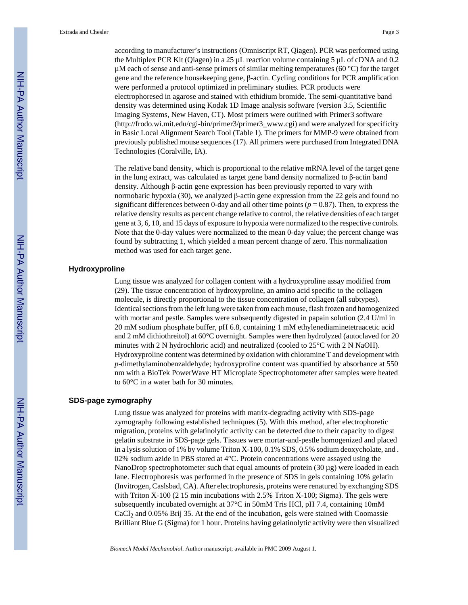according to manufacturer's instructions (Omniscript RT, Qiagen). PCR was performed using the Multiplex PCR Kit (Qiagen) in a 25 µL reaction volume containing 5 µL of cDNA and 0.2  $\mu$ M each of sense and anti-sense primers of similar melting temperatures (60 °C) for the target gene and the reference housekeeping gene, β-actin. Cycling conditions for PCR amplification were performed a protocol optimized in preliminary studies. PCR products were electrophoresed in agarose and stained with ethidium bromide. The semi-quantitative band density was determined using Kodak 1D Image analysis software (version 3.5, Scientific Imaging Systems, New Haven, CT). Most primers were outlined with Primer3 software [\(http://frodo.wi.mit.edu/cgi-bin/primer3/primer3\\_www.cgi\)](http://frodo.wi.mit.edu/cgi-bin/primer3/primer3_www.cgi) and were analyzed for specificity in Basic Local Alignment Search Tool (Table 1). The primers for MMP-9 were obtained from previously published mouse sequences (17). All primers were purchased from Integrated DNA Technologies (Coralville, IA).

The relative band density, which is proportional to the relative mRNA level of the target gene in the lung extract, was calculated as target gene band density normalized to β-actin band density. Although β-actin gene expression has been previously reported to vary with normobaric hypoxia (30), we analyzed β-actin gene expression from the 22 gels and found no significant differences between 0-day and all other time points  $(p = 0.87)$ . Then, to express the relative density results as percent change relative to control, the relative densities of each target gene at 3, 6, 10, and 15 days of exposure to hypoxia were normalized to the respective controls. Note that the 0-day values were normalized to the mean 0-day value; the percent change was found by subtracting 1, which yielded a mean percent change of zero. This normalization method was used for each target gene.

#### **Hydroxyproline**

Lung tissue was analyzed for collagen content with a hydroxyproline assay modified from (29). The tissue concentration of hydroxyproline, an amino acid specific to the collagen molecule, is directly proportional to the tissue concentration of collagen (all subtypes). Identical sections from the left lung were taken from each mouse, flash frozen and homogenized with mortar and pestle. Samples were subsequently digested in papain solution (2.4 U/ml in 20 mM sodium phosphate buffer, pH 6.8, containing 1 mM ethylenediaminetetraacetic acid and 2 mM dithiothreitol) at 60°C overnight. Samples were then hydrolyzed (autoclaved for 20 minutes with 2 N hydrochloric acid) and neutralized (cooled to 25°C with 2 N NaOH). Hydroxyproline content was determined by oxidation with chloramine T and development with *p*-dimethylaminobenzaldehyde; hydroxyproline content was quantified by absorbance at 550 nm with a BioTek PowerWave HT Microplate Spectrophotometer after samples were heated to 60°C in a water bath for 30 minutes.

#### **SDS-page zymography**

Lung tissue was analyzed for proteins with matrix-degrading activity with SDS-page zymography following established techniques (5). With this method, after electrophoretic migration, proteins with gelatinolytic activity can be detected due to their capacity to digest gelatin substrate in SDS-page gels. Tissues were mortar-and-pestle homogenized and placed in a lysis solution of 1% by volume Triton X-100, 0.1% SDS, 0.5% sodium deoxycholate, and . 02% sodium azide in PBS stored at 4°C. Protein concentrations were assayed using the NanoDrop spectrophotometer such that equal amounts of protein  $(30 \mu g)$  were loaded in each lane. Electrophoresis was performed in the presence of SDS in gels containing 10% gelatin (Invitrogen, Caslsbad, CA). After electrophoresis, proteins were renatured by exchanging SDS with Triton X-100 (2 15 min incubations with 2.5% Triton X-100; Sigma). The gels were subsequently incubated overnight at 37°C in 50mM Tris HCl, pH 7.4, containing 10mM CaCl<sub>2</sub> and 0.05% Brij 35. At the end of the incubation, gels were stained with Coomassie Brilliant Blue G (Sigma) for 1 hour. Proteins having gelatinolytic activity were then visualized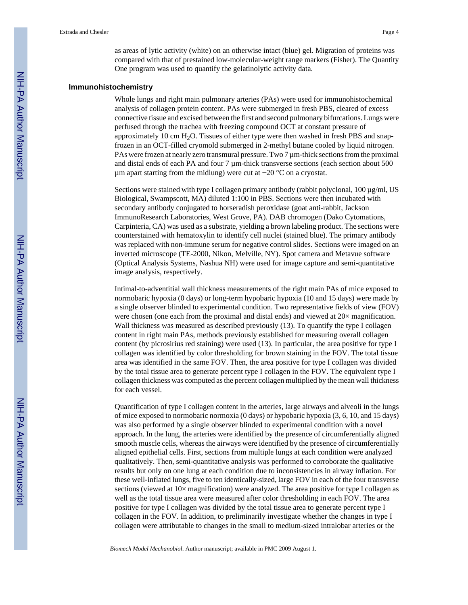as areas of lytic activity (white) on an otherwise intact (blue) gel. Migration of proteins was compared with that of prestained low-molecular-weight range markers (Fisher). The Quantity One program was used to quantify the gelatinolytic activity data.

#### **Immunohistochemistry**

Whole lungs and right main pulmonary arteries (PAs) were used for immunohistochemical analysis of collagen protein content. PAs were submerged in fresh PBS, cleared of excess connective tissue and excised between the first and second pulmonary bifurcations. Lungs were perfused through the trachea with freezing compound OCT at constant pressure of approximately 10 cm  $H_2O$ . Tissues of either type were then washed in fresh PBS and snapfrozen in an OCT-filled cryomold submerged in 2-methyl butane cooled by liquid nitrogen. PAs were frozen at nearly zero transmural pressure. Two  $7 \mu$ m-thick sections from the proximal and distal ends of each PA and four 7 µm-thick transverse sections (each section about 500 µm apart starting from the midlung) were cut at −20 °C on a cryostat.

Sections were stained with type I collagen primary antibody (rabbit polyclonal, 100 µg/ml, US Biological, Swampscott, MA) diluted 1:100 in PBS. Sections were then incubated with secondary antibody conjugated to horseradish peroxidase (goat anti-rabbit, Jackson ImmunoResearch Laboratories, West Grove, PA). DAB chromogen (Dako Cytomations, Carpinteria, CA) was used as a substrate, yielding a brown labeling product. The sections were counterstained with hematoxylin to identify cell nuclei (stained blue). The primary antibody was replaced with non-immune serum for negative control slides. Sections were imaged on an inverted microscope (TE-2000, Nikon, Melville, NY). Spot camera and Metavue software (Optical Analysis Systems, Nashua NH) were used for image capture and semi-quantitative image analysis, respectively.

Intimal-to-adventitial wall thickness measurements of the right main PAs of mice exposed to normobaric hypoxia (0 days) or long-term hypobaric hypoxia (10 and 15 days) were made by a single observer blinded to experimental condition. Two representative fields of view (FOV) were chosen (one each from the proximal and distal ends) and viewed at  $20\times$  magnification. Wall thickness was measured as described previously (13). To quantify the type I collagen content in right main PAs, methods previously established for measuring overall collagen content (by picrosirius red staining) were used (13). In particular, the area positive for type I collagen was identified by color thresholding for brown staining in the FOV. The total tissue area was identified in the same FOV. Then, the area positive for type I collagen was divided by the total tissue area to generate percent type I collagen in the FOV. The equivalent type I collagen thickness was computed as the percent collagen multiplied by the mean wall thickness for each vessel.

Quantification of type I collagen content in the arteries, large airways and alveoli in the lungs of mice exposed to normobaric normoxia (0 days) or hypobaric hypoxia (3, 6, 10, and 15 days) was also performed by a single observer blinded to experimental condition with a novel approach. In the lung, the arteries were identified by the presence of circumferentially aligned smooth muscle cells, whereas the airways were identified by the presence of circumferentially aligned epithelial cells. First, sections from multiple lungs at each condition were analyzed qualitatively. Then, semi-quantitative analysis was performed to corroborate the qualitative results but only on one lung at each condition due to inconsistencies in airway inflation. For these well-inflated lungs, five to ten identically-sized, large FOV in each of the four transverse sections (viewed at  $10\times$  magnification) were analyzed. The area positive for type I collagen as well as the total tissue area were measured after color thresholding in each FOV. The area positive for type I collagen was divided by the total tissue area to generate percent type I collagen in the FOV. In addition, to preliminarily investigate whether the changes in type I collagen were attributable to changes in the small to medium-sized intralobar arteries or the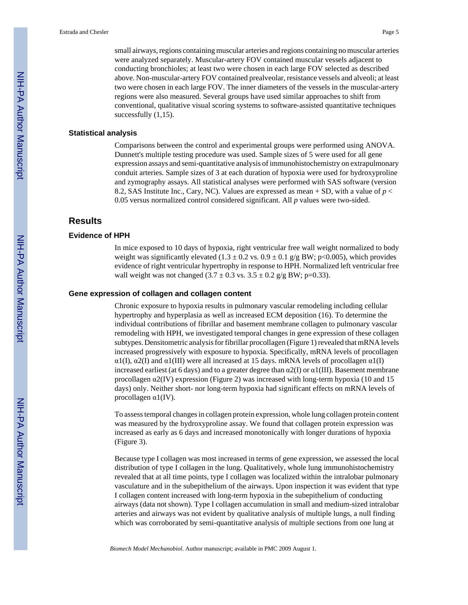small airways, regions containing muscular arteries and regions containing no muscular arteries were analyzed separately. Muscular-artery FOV contained muscular vessels adjacent to conducting bronchioles; at least two were chosen in each large FOV selected as described above. Non-muscular-artery FOV contained prealveolar, resistance vessels and alveoli; at least two were chosen in each large FOV. The inner diameters of the vessels in the muscular-artery regions were also measured. Several groups have used similar approaches to shift from conventional, qualitative visual scoring systems to software-assisted quantitative techniques successfully  $(1,15)$ .

#### **Statistical analysis**

Comparisons between the control and experimental groups were performed using ANOVA. Dunnett's multiple testing procedure was used. Sample sizes of 5 were used for all gene expression assays and semi-quantitative analysis of immunohistochemistry on extrapulmonary conduit arteries. Sample sizes of 3 at each duration of hypoxia were used for hydroxyproline and zymography assays. All statistical analyses were performed with SAS software (version 8.2, SAS Institute Inc., Cary, NC). Values are expressed as mean + SD, with a value of *p* < 0.05 versus normalized control considered significant. All *p* values were two-sided.

## **Results**

#### **Evidence of HPH**

In mice exposed to 10 days of hypoxia, right ventricular free wall weight normalized to body weight was significantly elevated  $(1.3 \pm 0.2 \text{ vs. } 0.9 \pm 0.1 \text{ g/g BW}; p<0.005)$ , which provides evidence of right ventricular hypertrophy in response to HPH. Normalized left ventricular free wall weight was not changed  $(3.7 \pm 0.3 \text{ vs. } 3.5 \pm 0.2 \text{ g/g BW}; p=0.33)$ .

#### **Gene expression of collagen and collagen content**

Chronic exposure to hypoxia results in pulmonary vascular remodeling including cellular hypertrophy and hyperplasia as well as increased ECM deposition (16). To determine the individual contributions of fibrillar and basement membrane collagen to pulmonary vascular remodeling with HPH, we investigated temporal changes in gene expression of these collagen subtypes. Densitometric analysis for fibrillar procollagen (Figure 1) revealed that mRNA levels increased progressively with exposure to hypoxia. Specifically, mRNA levels of procollagen  $\alpha$ 1(I),  $\alpha$ 2(I) and  $\alpha$ 1(III) were all increased at 15 days. mRNA levels of procollagen  $\alpha$ 1(I) increased earliest (at 6 days) and to a greater degree than  $\alpha$ 2(I) or  $\alpha$ 1(III). Basement membrane procollagen  $\alpha$ 2(IV) expression (Figure 2) was increased with long-term hypoxia (10 and 15 days) only. Neither short- nor long-term hypoxia had significant effects on mRNA levels of procollagen α1(IV).

To assess temporal changes in collagen protein expression, whole lung collagen protein content was measured by the hydroxyproline assay. We found that collagen protein expression was increased as early as 6 days and increased monotonically with longer durations of hypoxia (Figure 3).

Because type I collagen was most increased in terms of gene expression, we assessed the local distribution of type I collagen in the lung. Qualitatively, whole lung immunohistochemistry revealed that at all time points, type I collagen was localized within the intralobar pulmonary vasculature and in the subepithelium of the airways. Upon inspection it was evident that type I collagen content increased with long-term hypoxia in the subepithelium of conducting airways (data not shown). Type I collagen accumulation in small and medium-sized intralobar arteries and airways was not evident by qualitative analysis of multiple lungs, a null finding which was corroborated by semi-quantitative analysis of multiple sections from one lung at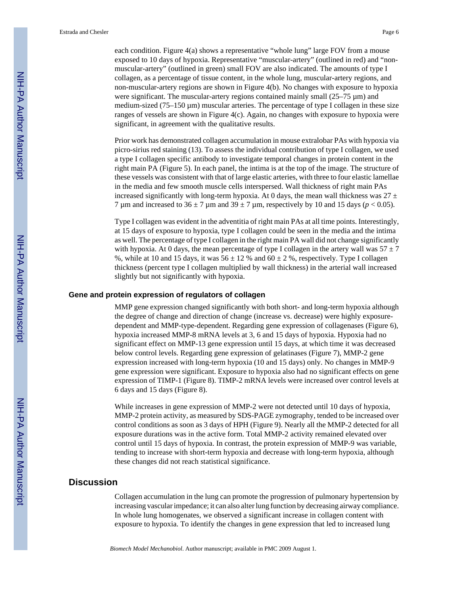each condition. Figure 4(a) shows a representative "whole lung" large FOV from a mouse exposed to 10 days of hypoxia. Representative "muscular-artery" (outlined in red) and "nonmuscular-artery" (outlined in green) small FOV are also indicated. The amounts of type I collagen, as a percentage of tissue content, in the whole lung, muscular-artery regions, and non-muscular-artery regions are shown in Figure 4(b). No changes with exposure to hypoxia were significant. The muscular-artery regions contained mainly small (25–75 µm) and medium-sized  $(75-150 \,\mu m)$  muscular arteries. The percentage of type I collagen in these size ranges of vessels are shown in Figure 4(c). Again, no changes with exposure to hypoxia were significant, in agreement with the qualitative results.

Prior work has demonstrated collagen accumulation in mouse extralobar PAs with hypoxia via picro-sirius red staining (13). To assess the individual contribution of type I collagen, we used a type I collagen specific antibody to investigate temporal changes in protein content in the right main PA (Figure 5). In each panel, the intima is at the top of the image. The structure of these vessels was consistent with that of large elastic arteries, with three to four elastic lamellae in the media and few smooth muscle cells interspersed. Wall thickness of right main PAs increased significantly with long-term hypoxia. At 0 days, the mean wall thickness was  $27 \pm$ 7 µm and increased to  $36 \pm 7$  µm and  $39 \pm 7$  µm, respectively by 10 and 15 days ( $p < 0.05$ ).

Type I collagen was evident in the adventitia of right main PAs at all time points. Interestingly, at 15 days of exposure to hypoxia, type I collagen could be seen in the media and the intima as well. The percentage of type I collagen in the right main PA wall did not change significantly with hypoxia. At 0 days, the mean percentage of type I collagen in the artery wall was  $57 \pm 7$ %, while at 10 and 15 days, it was  $56 \pm 12$  % and  $60 \pm 2$  %, respectively. Type I collagen thickness (percent type I collagen multiplied by wall thickness) in the arterial wall increased slightly but not significantly with hypoxia.

#### **Gene and protein expression of regulators of collagen**

MMP gene expression changed significantly with both short- and long-term hypoxia although the degree of change and direction of change (increase vs. decrease) were highly exposuredependent and MMP-type-dependent. Regarding gene expression of collagenases (Figure 6), hypoxia increased MMP-8 mRNA levels at 3, 6 and 15 days of hypoxia. Hypoxia had no significant effect on MMP-13 gene expression until 15 days, at which time it was decreased below control levels. Regarding gene expression of gelatinases (Figure 7), MMP-2 gene expression increased with long-term hypoxia (10 and 15 days) only. No changes in MMP-9 gene expression were significant. Exposure to hypoxia also had no significant effects on gene expression of TIMP-1 (Figure 8). TIMP-2 mRNA levels were increased over control levels at 6 days and 15 days (Figure 8).

While increases in gene expression of MMP-2 were not detected until 10 days of hypoxia, MMP-2 protein activity, as measured by SDS-PAGE zymography, tended to be increased over control conditions as soon as 3 days of HPH (Figure 9). Nearly all the MMP-2 detected for all exposure durations was in the active form. Total MMP-2 activity remained elevated over control until 15 days of hypoxia. In contrast, the protein expression of MMP-9 was variable, tending to increase with short-term hypoxia and decrease with long-term hypoxia, although these changes did not reach statistical significance.

### **Discussion**

Collagen accumulation in the lung can promote the progression of pulmonary hypertension by increasing vascular impedance; it can also alter lung function by decreasing airway compliance. In whole lung homogenates, we observed a significant increase in collagen content with exposure to hypoxia. To identify the changes in gene expression that led to increased lung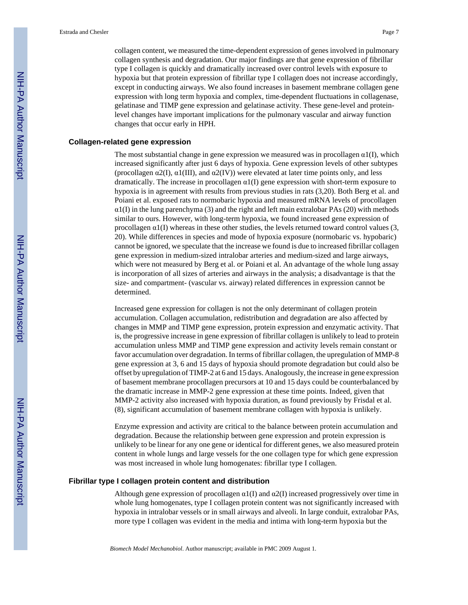collagen content, we measured the time-dependent expression of genes involved in pulmonary collagen synthesis and degradation. Our major findings are that gene expression of fibrillar type I collagen is quickly and dramatically increased over control levels with exposure to hypoxia but that protein expression of fibrillar type I collagen does not increase accordingly, except in conducting airways. We also found increases in basement membrane collagen gene expression with long term hypoxia and complex, time-dependent fluctuations in collagenase, gelatinase and TIMP gene expression and gelatinase activity. These gene-level and proteinlevel changes have important implications for the pulmonary vascular and airway function changes that occur early in HPH.

#### **Collagen-related gene expression**

The most substantial change in gene expression we measured was in procollagen  $\alpha_1(I)$ , which increased significantly after just 6 days of hypoxia. Gene expression levels of other subtypes (procollagen  $\alpha$ 2(I),  $\alpha$ 1(III), and  $\alpha$ 2(IV)) were elevated at later time points only, and less dramatically. The increase in procollagen  $\alpha$ 1(I) gene expression with short-term exposure to hypoxia is in agreement with results from previous studies in rats (3,20). Both Berg et al. and Poiani et al. exposed rats to normobaric hypoxia and measured mRNA levels of procollagen  $\alpha$ 1(I) in the lung parenchyma (3) and the right and left main extralobar PAs (20) with methods similar to ours. However, with long-term hypoxia, we found increased gene expression of procollagen  $\alpha$ 1(I) whereas in these other studies, the levels returned toward control values (3, 20). While differences in species and mode of hypoxia exposure (normobaric vs. hypobaric) cannot be ignored, we speculate that the increase we found is due to increased fibrillar collagen gene expression in medium-sized intralobar arteries and medium-sized and large airways, which were not measured by Berg et al. or Poiani et al. An advantage of the whole lung assay is incorporation of all sizes of arteries and airways in the analysis; a disadvantage is that the size- and compartment- (vascular vs. airway) related differences in expression cannot be determined.

Increased gene expression for collagen is not the only determinant of collagen protein accumulation. Collagen accumulation, redistribution and degradation are also affected by changes in MMP and TIMP gene expression, protein expression and enzymatic activity. That is, the progressive increase in gene expression of fibrillar collagen is unlikely to lead to protein accumulation unless MMP and TIMP gene expression and activity levels remain constant or favor accumulation over degradation. In terms of fibrillar collagen, the upregulation of MMP-8 gene expression at 3, 6 and 15 days of hypoxia should promote degradation but could also be offset by upregulation of TIMP-2 at 6 and 15 days. Analogously, the increase in gene expression of basement membrane procollagen precursors at 10 and 15 days could be counterbalanced by the dramatic increase in MMP-2 gene expression at these time points. Indeed, given that MMP-2 activity also increased with hypoxia duration, as found previously by Frisdal et al. (8), significant accumulation of basement membrane collagen with hypoxia is unlikely.

Enzyme expression and activity are critical to the balance between protein accumulation and degradation. Because the relationship between gene expression and protein expression is unlikely to be linear for any one gene or identical for different genes, we also measured protein content in whole lungs and large vessels for the one collagen type for which gene expression was most increased in whole lung homogenates: fibrillar type I collagen.

#### **Fibrillar type I collagen protein content and distribution**

Although gene expression of procollagen  $\alpha$ 1(I) and  $\alpha$ 2(I) increased progressively over time in whole lung homogenates, type I collagen protein content was not significantly increased with hypoxia in intralobar vessels or in small airways and alveoli. In large conduit, extralobar PAs, more type I collagen was evident in the media and intima with long-term hypoxia but the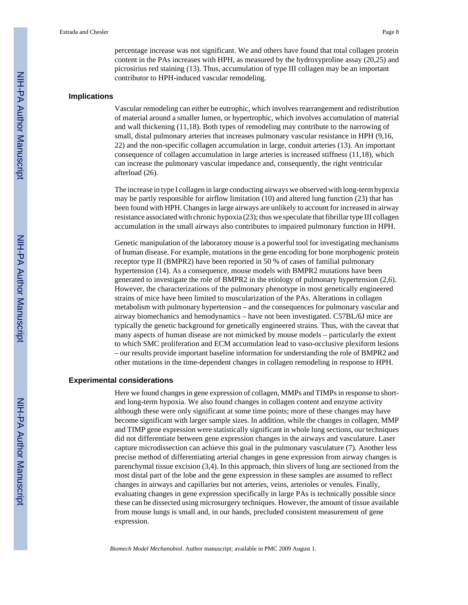percentage increase was not significant. We and others have found that total collagen protein content in the PAs increases with HPH, as measured by the hydroxyproline assay (20,25) and picrosirius red staining (13). Thus, accumulation of type III collagen may be an important contributor to HPH-induced vascular remodeling.

#### **Implications**

Vascular remodeling can either be eutrophic, which involves rearrangement and redistribution of material around a smaller lumen, or hypertrophic, which involves accumulation of material and wall thickening (11,18). Both types of remodeling may contribute to the narrowing of small, distal pulmonary arteries that increases pulmonary vascular resistance in HPH (9,16, 22) and the non-specific collagen accumulation in large, conduit arteries (13). An important consequence of collagen accumulation in large arteries is increased stiffness (11,18), which can increase the pulmonary vascular impedance and, consequently, the right ventricular afterload (26).

The increase in type I collagen in large conducting airways we observed with long-term hypoxia may be partly responsible for airflow limitation (10) and altered lung function (23) that has been found with HPH. Changes in large airways are unlikely to account for increased in airway resistance associated with chronic hypoxia (23); thus we speculate that fibrillar type III collagen accumulation in the small airways also contributes to impaired pulmonary function in HPH.

Genetic manipulation of the laboratory mouse is a powerful tool for investigating mechanisms of human disease. For example, mutations in the gene encoding for bone morphogenic protein receptor type II (BMPR2) have been reported in 50 % of cases of familial pulmonary hypertension (14). As a consequence, mouse models with BMPR2 mutations have been generated to investigate the role of BMPR2 in the etiology of pulmonary hypertension (2,6). However, the characterizations of the pulmonary phenotype in most genetically engineered strains of mice have been limited to muscularization of the PAs. Alterations in collagen metabolism with pulmonary hypertension – and the consequences for pulmonary vascular and airway biomechanics and hemodynamics – have not been investigated. C57BL/6J mice are typically the genetic background for genetically engineered strains. Thus, with the caveat that many aspects of human disease are not mimicked by mouse models – particularly the extent to which SMC proliferation and ECM accumulation lead to vaso-occlusive plexiform lesions – our results provide important baseline information for understanding the role of BMPR2 and other mutations in the time-dependent changes in collagen remodeling in response to HPH.

#### **Experimental considerations**

Here we found changes in gene expression of collagen, MMPs and TIMPs in response to shortand long-term hypoxia. We also found changes in collagen content and enzyme activity although these were only significant at some time points; more of these changes may have become significant with larger sample sizes. In addition, while the changes in collagen, MMP and TIMP gene expression were statistically significant in whole lung sections, our techniques did not differentiate between gene expression changes in the airways and vasculature. Laser capture microdissection can achieve this goal in the pulmonary vasculature (7). Another less precise method of differentiating arterial changes in gene expression from airway changes is parenchymal tissue excision (3,4). In this approach, thin slivers of lung are sectioned from the most distal part of the lobe and the gene expression in these samples are assumed to reflect changes in airways and capillaries but not arteries, veins, arterioles or venules. Finally, evaluating changes in gene expression specifically in large PAs is technically possible since these can be dissected using microsurgery techniques. However, the amount of tissue available from mouse lungs is small and, in our hands, precluded consistent measurement of gene expression.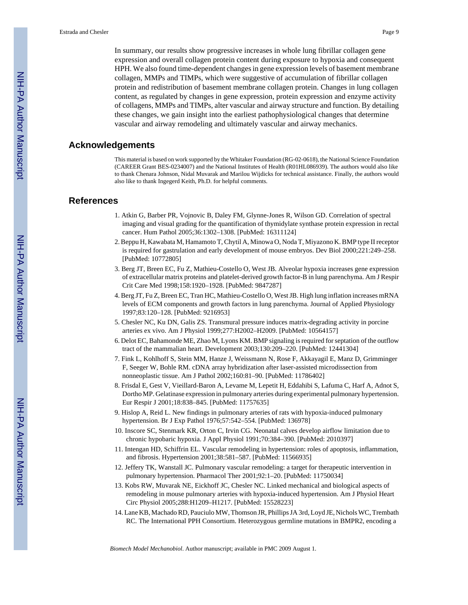In summary, our results show progressive increases in whole lung fibrillar collagen gene expression and overall collagen protein content during exposure to hypoxia and consequent HPH. We also found time-dependent changes in gene expression levels of basement membrane collagen, MMPs and TIMPs, which were suggestive of accumulation of fibrillar collagen protein and redistribution of basement membrane collagen protein. Changes in lung collagen content, as regulated by changes in gene expression, protein expression and enzyme activity of collagens, MMPs and TIMPs, alter vascular and airway structure and function. By detailing these changes, we gain insight into the earliest pathophysiological changes that determine vascular and airway remodeling and ultimately vascular and airway mechanics.

## **Acknowledgements**

This material is based on work supported by the Whitaker Foundation (RG-02-0618), the National Science Foundation (CAREER Grant BES-0234007) and the National Institutes of Health (R01HL086939). The authors would also like to thank Chenara Johnson, Nidal Muvarak and Marilou Wijdicks for technical assistance. Finally, the authors would also like to thank Ingegerd Keith, Ph.D. for helpful comments.

#### **References**

- 1. Atkin G, Barber PR, Vojnovic B, Daley FM, Glynne-Jones R, Wilson GD. Correlation of spectral imaging and visual grading for the quantification of thymidylate synthase protein expression in rectal cancer. Hum Pathol 2005;36:1302–1308. [PubMed: 16311124]
- 2. Beppu H, Kawabata M, Hamamoto T, Chytil A, Minowa O, Noda T, Miyazono K. BMP type II receptor is required for gastrulation and early development of mouse embryos. Dev Biol 2000;221:249–258. [PubMed: 10772805]
- 3. Berg JT, Breen EC, Fu Z, Mathieu-Costello O, West JB. Alveolar hypoxia increases gene expression of extracellular matrix proteins and platelet-derived growth factor-B in lung parenchyma. Am J Respir Crit Care Med 1998;158:1920–1928. [PubMed: 9847287]
- 4. Berg JT, Fu Z, Breen EC, Tran HC, Mathieu-Costello O, West JB. High lung inflation increases mRNA levels of ECM components and growth factors in lung parenchyma. Journal of Applied Physiology 1997;83:120–128. [PubMed: 9216953]
- 5. Chesler NC, Ku DN, Galis ZS. Transmural pressure induces matrix-degrading activity in porcine arteries ex vivo. Am J Physiol 1999;277:H2002–H2009. [PubMed: 10564157]
- 6. Delot EC, Bahamonde ME, Zhao M, Lyons KM. BMP signaling is required for septation of the outflow tract of the mammalian heart. Development 2003;130:209–220. [PubMed: 12441304]
- 7. Fink L, Kohlhoff S, Stein MM, Hanze J, Weissmann N, Rose F, Akkayagil E, Manz D, Grimminger F, Seeger W, Bohle RM. cDNA array hybridization after laser-assisted microdissection from nonneoplastic tissue. Am J Pathol 2002;160:81–90. [PubMed: 11786402]
- 8. Frisdal E, Gest V, Vieillard-Baron A, Levame M, Lepetit H, Eddahibi S, Lafuma C, Harf A, Adnot S, Dortho MP. Gelatinase expression in pulmonary arteries during experimental pulmonary hypertension. Eur Respir J 2001;18:838–845. [PubMed: 11757635]
- 9. Hislop A, Reid L. New findings in pulmonary arteries of rats with hypoxia-induced pulmonary hypertension. Br J Exp Pathol 1976;57:542–554. [PubMed: 136978]
- 10. Inscore SC, Stenmark KR, Orton C, Irvin CG. Neonatal calves develop airflow limitation due to chronic hypobaric hypoxia. J Appl Physiol 1991;70:384–390. [PubMed: 2010397]
- 11. Intengan HD, Schiffrin EL. Vascular remodeling in hypertension: roles of apoptosis, inflammation, and fibrosis. Hypertension 2001;38:581–587. [PubMed: 11566935]
- 12. Jeffery TK, Wanstall JC. Pulmonary vascular remodeling: a target for therapeutic intervention in pulmonary hypertension. Pharmacol Ther 2001;92:1–20. [PubMed: 11750034]
- 13. Kobs RW, Muvarak NE, Eickhoff JC, Chesler NC. Linked mechanical and biological aspects of remodeling in mouse pulmonary arteries with hypoxia-induced hypertension. Am J Physiol Heart Circ Physiol 2005;288:H1209–H1217. [PubMed: 15528223]
- 14. Lane KB, Machado RD, Pauciulo MW, Thomson JR, Phillips JA 3rd, Loyd JE, Nichols WC, Trembath RC. The International PPH Consortium. Heterozygous germline mutations in BMPR2, encoding a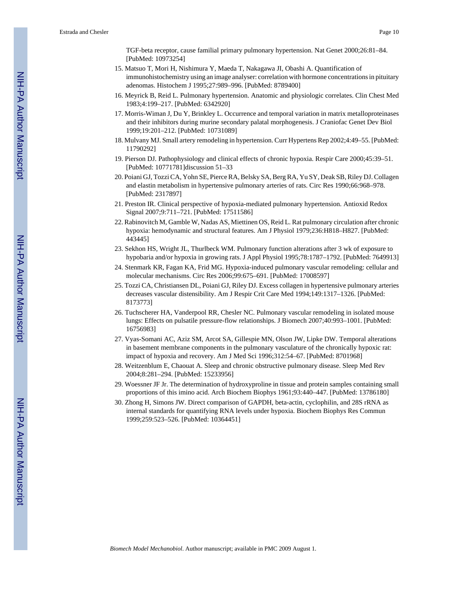TGF-beta receptor, cause familial primary pulmonary hypertension. Nat Genet 2000;26:81–84. [PubMed: 10973254]

- 15. Matsuo T, Mori H, Nishimura Y, Maeda T, Nakagawa JI, Obashi A. Quantification of immunohistochemistry using an image analyser: correlation with hormone concentrations in pituitary adenomas. Histochem J 1995;27:989–996. [PubMed: 8789400]
- 16. Meyrick B, Reid L. Pulmonary hypertension. Anatomic and physiologic correlates. Clin Chest Med 1983;4:199–217. [PubMed: 6342920]
- 17. Morris-Wiman J, Du Y, Brinkley L. Occurrence and temporal variation in matrix metalloproteinases and their inhibitors during murine secondary palatal morphogenesis. J Craniofac Genet Dev Biol 1999;19:201–212. [PubMed: 10731089]
- 18. Mulvany MJ. Small artery remodeling in hypertension. Curr Hypertens Rep 2002;4:49–55. [PubMed: 11790292]
- 19. Pierson DJ. Pathophysiology and clinical effects of chronic hypoxia. Respir Care 2000;45:39–51. [PubMed: 10771781]discussion 51–33
- 20. Poiani GJ, Tozzi CA, Yohn SE, Pierce RA, Belsky SA, Berg RA, Yu SY, Deak SB, Riley DJ. Collagen and elastin metabolism in hypertensive pulmonary arteries of rats. Circ Res 1990;66:968–978. [PubMed: 2317897]
- 21. Preston IR. Clinical perspective of hypoxia-mediated pulmonary hypertension. Antioxid Redox Signal 2007;9:711–721. [PubMed: 17511586]
- 22. Rabinovitch M, Gamble W, Nadas AS, Miettinen OS, Reid L. Rat pulmonary circulation after chronic hypoxia: hemodynamic and structural features. Am J Physiol 1979;236:H818–H827. [PubMed: 443445]
- 23. Sekhon HS, Wright JL, Thurlbeck WM. Pulmonary function alterations after 3 wk of exposure to hypobaria and/or hypoxia in growing rats. J Appl Physiol 1995;78:1787–1792. [PubMed: 7649913]
- 24. Stenmark KR, Fagan KA, Frid MG. Hypoxia-induced pulmonary vascular remodeling: cellular and molecular mechanisms. Circ Res 2006;99:675–691. [PubMed: 17008597]
- 25. Tozzi CA, Christiansen DL, Poiani GJ, Riley DJ. Excess collagen in hypertensive pulmonary arteries decreases vascular distensibility. Am J Respir Crit Care Med 1994;149:1317–1326. [PubMed: 8173773]
- 26. Tuchscherer HA, Vanderpool RR, Chesler NC. Pulmonary vascular remodeling in isolated mouse lungs: Effects on pulsatile pressure-flow relationships. J Biomech 2007;40:993–1001. [PubMed: 16756983]
- 27. Vyas-Somani AC, Aziz SM, Arcot SA, Gillespie MN, Olson JW, Lipke DW. Temporal alterations in basement membrane components in the pulmonary vasculature of the chronically hypoxic rat: impact of hypoxia and recovery. Am J Med Sci 1996;312:54–67. [PubMed: 8701968]
- 28. Weitzenblum E, Chaouat A. Sleep and chronic obstructive pulmonary disease. Sleep Med Rev 2004;8:281–294. [PubMed: 15233956]
- 29. Woessner JF Jr. The determination of hydroxyproline in tissue and protein samples containing small proportions of this imino acid. Arch Biochem Biophys 1961;93:440–447. [PubMed: 13786180]
- 30. Zhong H, Simons JW. Direct comparison of GAPDH, beta-actin, cyclophilin, and 28S rRNA as internal standards for quantifying RNA levels under hypoxia. Biochem Biophys Res Commun 1999;259:523–526. [PubMed: 10364451]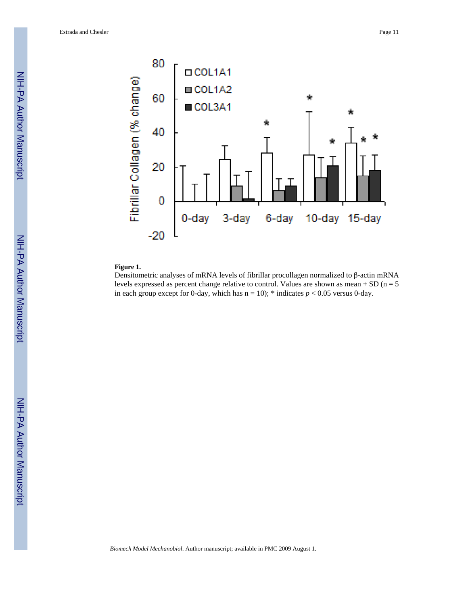

#### **Figure 1.**

Densitometric analyses of mRNA levels of fibrillar procollagen normalized to β-actin mRNA levels expressed as percent change relative to control. Values are shown as mean  $+$  SD (n = 5) in each group except for 0-day, which has  $n = 10$ ); \* indicates  $p < 0.05$  versus 0-day.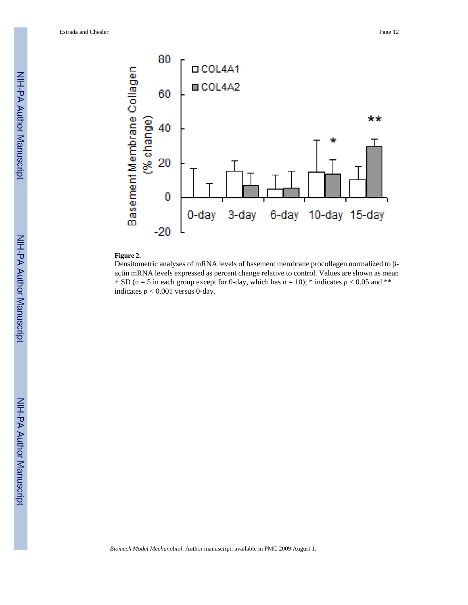

#### **Figure 2.**

Densitometric analyses of mRNA levels of basement membrane procollagen normalized to βactin mRNA levels expressed as percent change relative to control. Values are shown as mean  $+$  SD (n = 5 in each group except for 0-day, which has n = 10); \* indicates  $p < 0.05$  and \*\* indicates  $p < 0.001$  versus 0-day.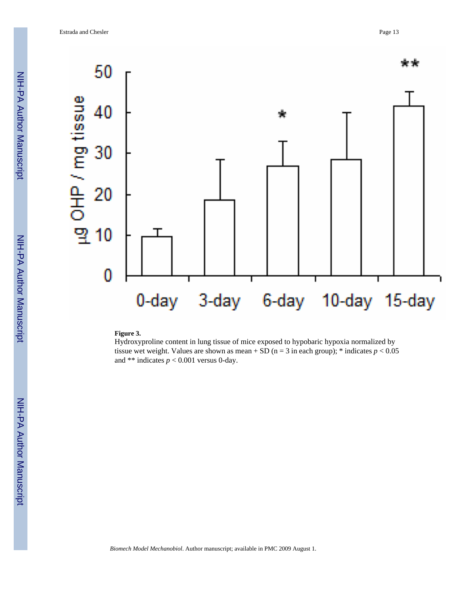

#### **Figure 3.**

Hydroxyproline content in lung tissue of mice exposed to hypobaric hypoxia normalized by tissue wet weight. Values are shown as mean + SD ( $n = 3$  in each group); \* indicates  $p < 0.05$ and \*\* indicates  $p < 0.001$  versus 0-day.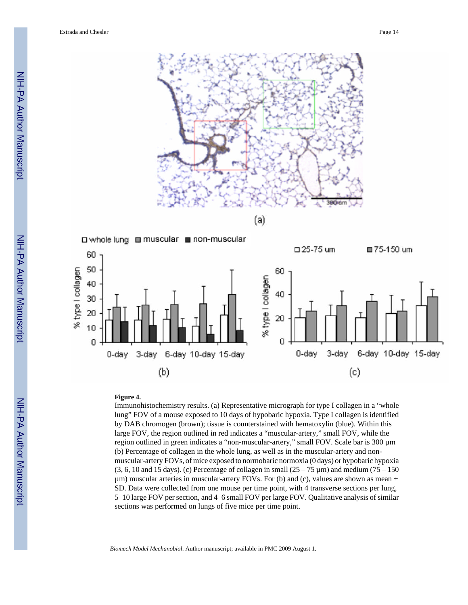



#### **Figure 4.**

Immunohistochemistry results. (a) Representative micrograph for type I collagen in a "whole lung" FOV of a mouse exposed to 10 days of hypobaric hypoxia. Type I collagen is identified by DAB chromogen (brown); tissue is counterstained with hematoxylin (blue). Within this large FOV, the region outlined in red indicates a "muscular-artery," small FOV, while the region outlined in green indicates a "non-muscular-artery," small FOV. Scale bar is 300  $\mu$ m (b) Percentage of collagen in the whole lung, as well as in the muscular-artery and nonmuscular-artery FOVs, of mice exposed to normobaric normoxia (0 days) or hypobaric hypoxia  $(3, 6, 10$  and 15 days). (c) Percentage of collagen in small  $(25 – 75 \,\mu m)$  and medium (75 – 150)  $\mu$ m) muscular arteries in muscular-artery FOVs. For (b) and (c), values are shown as mean + SD. Data were collected from one mouse per time point, with 4 transverse sections per lung, 5–10 large FOV per section, and 4–6 small FOV per large FOV. Qualitative analysis of similar sections was performed on lungs of five mice per time point.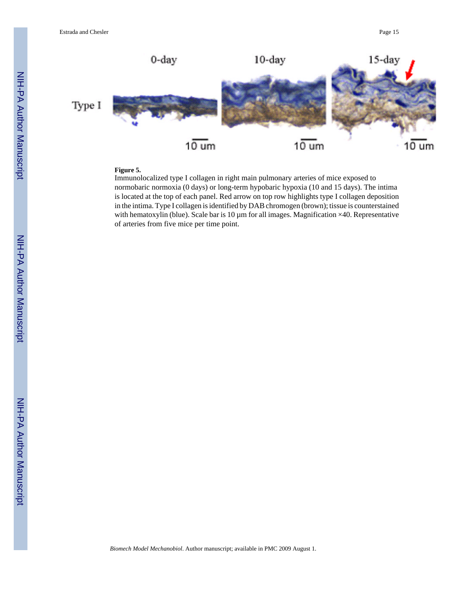

## **Figure 5.**

Immunolocalized type I collagen in right main pulmonary arteries of mice exposed to normobaric normoxia (0 days) or long-term hypobaric hypoxia (10 and 15 days). The intima is located at the top of each panel. Red arrow on top row highlights type I collagen deposition in the intima. Type I collagen is identified by DAB chromogen (brown); tissue is counterstained with hematoxylin (blue). Scale bar is  $10 \mu m$  for all images. Magnification  $\times 40$ . Representative of arteries from five mice per time point.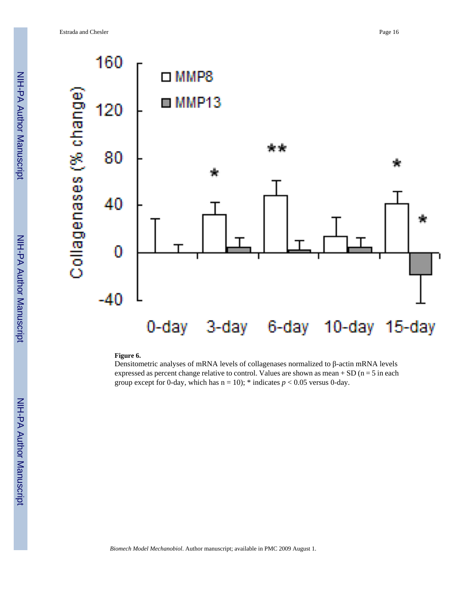Collagenases (% change)



#### 0-day 10-day 15-day 3-day 6-day

#### **Figure 6.**

Densitometric analyses of mRNA levels of collagenases normalized to β-actin mRNA levels expressed as percent change relative to control. Values are shown as mean  $+$  SD (n = 5 in each group except for 0-day, which has  $n = 10$ ); \* indicates  $p < 0.05$  versus 0-day.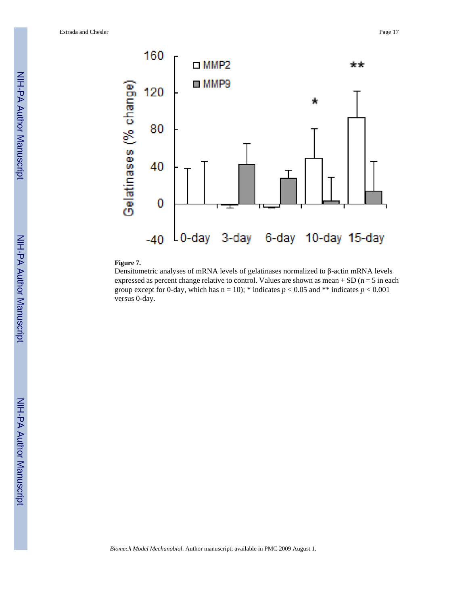

#### **Figure 7.**

Densitometric analyses of mRNA levels of gelatinases normalized to β-actin mRNA levels expressed as percent change relative to control. Values are shown as mean  $+$  SD (n = 5 in each group except for 0-day, which has  $n = 10$ ); \* indicates  $p < 0.05$  and \*\* indicates  $p < 0.001$ versus 0-day.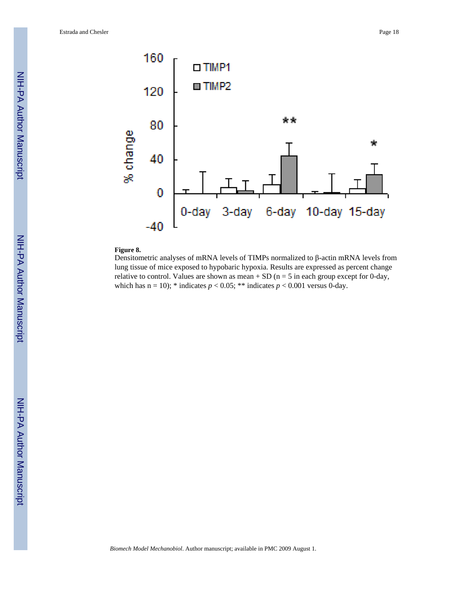

#### **Figure 8.**

Densitometric analyses of mRNA levels of TIMPs normalized to β-actin mRNA levels from lung tissue of mice exposed to hypobaric hypoxia. Results are expressed as percent change relative to control. Values are shown as mean  $+$  SD (n = 5 in each group except for 0-day, which has  $n = 10$ ); \* indicates  $p < 0.05$ ; \*\* indicates  $p < 0.001$  versus 0-day.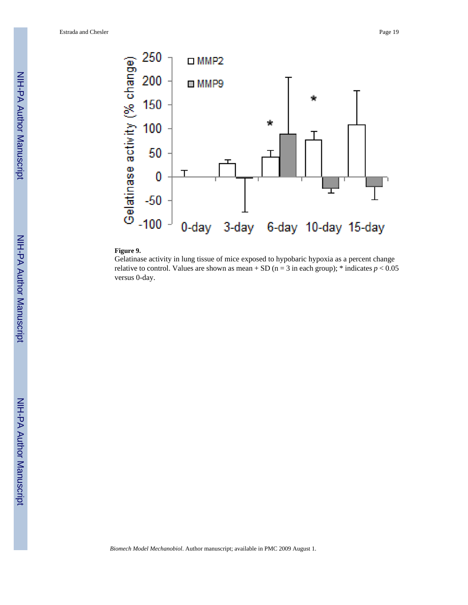

#### **Figure 9.**

Gelatinase activity in lung tissue of mice exposed to hypobaric hypoxia as a percent change relative to control. Values are shown as mean + SD ( $n = 3$  in each group); \* indicates  $p < 0.05$ versus 0-day.